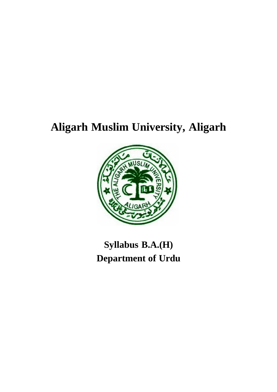# **Aligarh Muslim University, Aligarh**



# **Syllabus B.A.(H) Department of Urdu**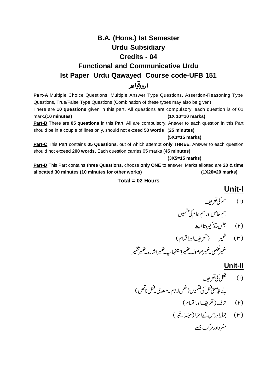## **B.A. (Hons.) Ist Semester Urdu Subsidiary Credits - 04 Functional and Communicative Urdu Ist Paper Urdu Qawayed Course code-UFB 151** اردوقواعد

Part-A Multiple Choice Questions, Multiple Answer Type Questions, Assertion-Reasoning Type Questions, True/False Type Questions (Combination of these types may also be given) There are **10 questions** given in this part. All questions are compulsory, each question is of 01 mark.**(10 minutes) (1X 10=10 marks) Part-B** There are **05 questions** in this Part. All are compulsory. Answer to each question in this Part

should be in a couple of lines only, should not exceed **50 words** (**25 minutes)**

#### **(5X3=15 marks)**

**Part-C** This Part contains **05 Questions**, out of which attempt **only THREE**. Answer to each question should not exceed **200 words.** Each question carries 05 marks (**45 minutes)**

**(3X5=15 marks)**

**Part-D** This Part contains **three Questions**, choose **only ONE** to answer. Marks allotted are **20 & time allocated 30 minutes (10 minutes for other works) (1X20=20 marks)**

#### **Total = 02 Hours**

## **Unit-I**

- (۱) اسم کی تعریف l **س** .<br>م خاص اوراسمِ عام کی تشمیں (۲) خېنس تن<sub>د</sub> کيروتانهيف
- (۳) غمیر (تعریفاوراقسام) عنميرشخص ضميرموصوله يضميراستفهاميه يضميرا شاره يخمير تنكير

#### **Unit-II**

- (۱) فعل کی تعریف بەلخانۇمىنى فىل كى قىتمىيى ( فعل لازم بەمتىدى فىل ناقص )
	- - (۳) جملہاوراس کےاجزا(مبتدانے<br>(۳) جملہاوراس کےاجزا(مبتدانے مفرداورمركب جمله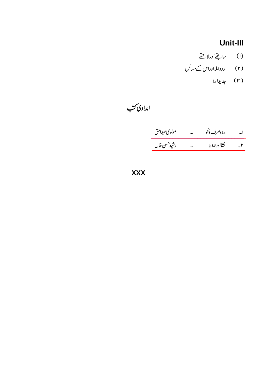## $Unit-III$ </u>

- (ا) سابقےاورلاچقے
- (۲) اردواملااوراس کے مسائل
	- (۳) جدیداملا

امدادی کتب

| مولوي عبدالحق | اردوصرف دنحو |              |
|---------------|--------------|--------------|
| رشيدحسن خال   | انشااور تلفط | $\mathbf{r}$ |

**XXX**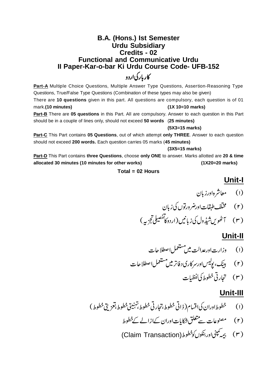## **B.A. (Hons.) Ist Semester Urdu Subsidiary Credits - 02 Functional and Communicative Urdu II Paper-Kar-o-bar Ki Urdu Course Code- UFB-152** کاربارکی اردو

**Part-A** Multiple Choice Questions, Multiple Answer Type Questions, Assertion-Reasoning Type Questions, True/False Type Questions (Combination of these types may also be given) There are **10 questions** given in this part. All questions are compulsory, each question is of 01 mark.**(10 minutes) (1X 10=10 marks)**

**Part-B** There are **05 questions** in this Part. All are compulsory. Answer to each question in this Part should be in a couple of lines only, should not exceed **50 words** (**25 minutes)**

#### **(5X3=15 marks)**

**Part-C** This Part contains **05 Questions**, out of which attempt **only THREE**. Answer to each question should not exceed **200 words.** Each question carries 05 marks (**45 minutes)**

#### **(3X5=15 marks)**

**Part-D** This Part contains **three Questions**, choose **only ONE** to answer. Marks allotted are **20 & time allocated 30 minutes (10 minutes for other works) (1X20=20 marks)**

#### **Total = 02 Hours**

### **Unit-I**

- (۱) معاشرهاورزبان
- (۲) گنتخشاطبقات اورضر ورتوں کی زبان
- (۳) گھُویںشیڈول کی زبانیں (اردوکاتفصیلی تجزیہ)

### **Unit-II**

- (۲) بینک، پولیساورسرکاری دفاتر میں مستعمل اصطلاحات
	- (۳) تجارتی خطوط کی<sup>انف</sup>ظیات

### **Unit-III**

- (١) خطوط اوران کی اقسام( ذاتی خطوط،تجارتی خطوط،تہنیتی خطوط،تعزیی خطوط)
	- (۲) مصنوعات سے تتعلق شکایات اوران کےازالے کے خطوط
	- (Claim Transaction)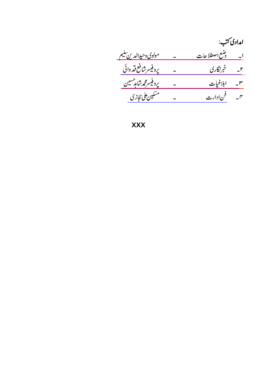|                             | امدادی کتب:             |      |
|-----------------------------|-------------------------|------|
| <u>مولوي وحيدالدين تنيم</u> | <u>ا۔ ونیع اصطلاحات</u> |      |
| يروفيسر شافع قذ وائى        | خبرنگاری                | $-1$ |
| <u>پروفیسرمحمەشامدحسین</u>  | ابلاغيات                | $-r$ |
| مسكين على حجازى             | ۴۔ فن دارت              |      |

**XXX**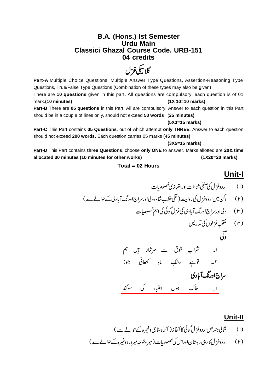### **B.A. (Hons.) Ist Semester Urdu Main Classici Ghazal Course Code. URB-151 04 credits**

كلاييكي غزل

Part-A Multiple Choice Questions, Multiple Answer Type Questions, Assertion-Reasoning Type Questions, True/False Type Questions (Combination of these types may also be given) There are **10 questions** given in this part. All questions are compulsory, each question is of 01 mark.**(10 minutes) (1X 10=10 marks) Part-B** There are **05 questions** in this Part. All are compulsory. Answer to each question in this Part should be in a couple of lines only, should not exceed **50 words** (**25 minutes)**

**(5X3=15 marks)**

**Part-C** This Part contains **05 Questions**, out of which attempt **only THREE**. Answer to each question should not exceed **200 words.** Each question carries 05 marks (**45 minutes)**

#### **(3X5=15 marks)**

**Part-D** This Part contains **three Questions**, choose **only ONE** to answer. Marks allotted are **20& time allocated 30 minutes (10 minutes for other works) (1X20=20 marks)**

#### **Total = 02 Hours**

## **Unit-I**

- (۱) اردوغزل کی صنفی شناخت اورامتیاز کی خصوصات
- (۲) دکن میں اردوغزل کی روایت ( قلی قطب شاہ،ولی اورسراج اورنگ آبادی کے حوالے سے )
	- ( ۳ ) ولی اورسراج اورنگ آبادی کی غزل گوئی کی اہم خصوصیات

(۳) 
$$
ینچییخزلول کی ترریس:  
**وی**
$$

[\\_\\_\\_\\_\\_\\_\\_\\_\\_\\_\\_\\_\\_\\_\\_\\_\\_\\_\\_\\_\\_\\_\\_\\_\\_\\_\\_\\_\\_\\_\\_](https://rekhta.org/ghazals/khaak-huun-e-tibaar-kii-saugand-siraj-aurangabadi-ghazals?lang=ur) 

### **Unit-II**

- (۱) \_\_ شالی ہند میں اردوغزل گوئی کا آغاز ( آبرو،ناجی وغیرہ کےحوالے سے )
- (۲) اردوغزل کا دہلی دبستانااوراس کی خصوصات (میر وخواجہ میر در دوغیر ہ کے حوالے سے )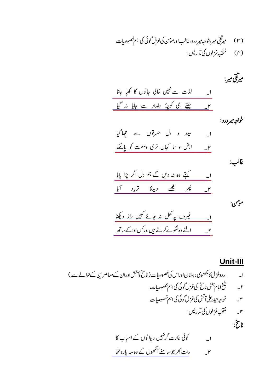(۳) میرتقی میر،خواجه میر درد،غالب اورمومن کی غزل گوئی کی اہم خصوصیات 

خواجهير درد:

| ا۔ سینہ و دل حسرتوں سے چھاگیا      |  |
|------------------------------------|--|
| ۲_ ارض و سا کہاں تری وسعت کو پاسکے |  |

غالب:

|     | کہتے ہو نہ دیں گے ہم دل اگر پڑا پایا |         |  |  |
|-----|--------------------------------------|---------|--|--|
| آیا |                                      | ديدهٔ ا |  |  |

مومن:

## Unit-III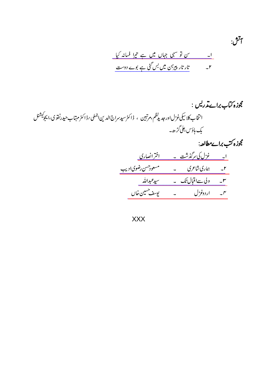$$
\tilde{J}^{\vec{U}}\tilde{J}^{\vec{U}}.
$$

# مجوزه کتاب براےتدریس : انتخاب کلا سکی غزل اور جدیدنظم،مرتبین ، ڈاکٹرسیدسراج الدین اجملی رڈاکٹرمہتاب حیدرنفوی،ایجوکیشنل بک ہاؤس علی گڑ ھ۔

مجوزه کتب براےمطالعہ: ا۔ غزل کی سرگذشت ۔ اختران<u>صاری</u> ۲\_ ماری شاعری \_ \_ مسعودحسن رضوی ادیب <u>۳۔ ولی ۱۳ قبال تک ۔ سیدعبداللہ </u> ۴۔ اردوغزل ۔ یوسف<sup> حسین</sup> خال

XXX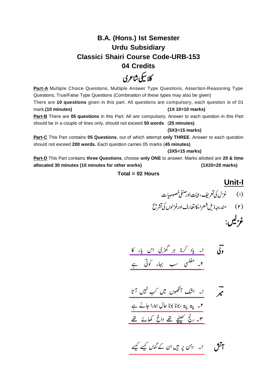## **B.A. (Hons.) Ist Semester Urdu Subsidiary Classici Shairi Course Code-URB-153 04 Credits**

# کلا بیکی شاعری

**Part-A** Multiple Choice Questions, Multiple Answer Type Questions, Assertion-Reasoning Type Questions, True/False Type Questions (Combination of these types may also be given) There are **10 questions** given in this part. All questions are compulsory, each question is of 01 mark.**(10 minutes) (1X 10=10 marks)**

**Part-B** There are **05 questions** in this Part. All are compulsory. Answer to each question in this Part should be in a couple of lines only, should not exceed **50 words** (**25 minutes)**

#### **(5X3=15 marks)**

**Part-C** This Part contains **05 Questions**, out of which attempt **only THREE**. Answer to each question should not exceed **200 words.** Each question carries 05 marks (**45 minutes)**

#### **(3X5=15 marks)**

**Part-D** This Part contains **three Questions**, choose **only ONE** to answer. Marks allotted are **20 & time allocated 30 minutes (10 minutes for other works) (1X20=20 marks)**

#### **Total = 02 Hours**

### **Unit-I**

 

$$
\begin{array}{ccc}\n\overline{6} & - & \frac{1}{2} ( - \frac{1}{2} ( - \frac{1}{2}) & \frac{1}{2} ( - \frac{1}{2}) & \frac{1}{2} ( - \frac{1}{2} ( - \frac{1}{2}) & \frac{1}{2} ( - \frac{1}{2}) & \frac{1}{2} ( - \frac{1}{2} ( - \frac{1}{2}) & \frac{1}{2} ( - \frac{1}{2}) & \frac{1}{2} ( - \frac{1}{2} ( - \frac{1}{2}) & \frac{1}{2} ( - \frac{1}{2}) & \frac{1}{2} ( - \frac{1}{2} ( - \frac{1}{2}) & \frac{1}{2} ( - \frac{1}{2} ( - \frac{1}{2}) & \frac{1}{2} ( - \frac{1}{2} ( - \frac{1}{2}) & \frac{1}{2} ( - \frac{1}{2} ( - \frac{1}{2}) & \frac{1}{2} ( - \frac{1}{2} ( - \frac{1}{2}) & \frac{1}{2} ( - \frac{1}{2} ( - \frac{1}{2}) & \frac{1}{2} ( - \frac{1}{2} ( - \frac{1}{2}) & \frac{1}{2} ( - \frac{1}{2} ( - \frac{1}{2}) & \frac{1}{2} ( - \frac{1}{2} ( - \frac{1}{2}) & \frac{1}{2} ( - \frac{1}{2} ( - \frac{1}{2}) & \frac{1}{2} ( - \frac{1}{2} ( - \frac{1}{2}) & \frac{1}{2} ( - \frac{1}{2} ( - \frac{1}{2}) & \frac{1}{2} ( - \frac{1}{2} ( - \frac{1}{2}) & \frac{1}{2} ( - \frac{1}{2} ( - \frac{1}{2}) & \frac{1}{2} ( - \frac{1}{2} ( - \frac{1}{2}) & \frac{1}{2} ( - \frac{1}{2} ( - \frac{1}{2}) & \frac{1}{2} ( - \frac{1}{2} ( - \frac{1}{2}) & \frac{1}{2} ( - \frac{1}{2} ( - \frac{1}{2}) & \frac{1}{2} ( - \frac{1}{2} ( - \frac{1}{2}) & \frac{1}{2} ( - \frac{1}{2} ( - \frac{1}{2}) & \frac{1}{2} ( - \frac{1}{2} ( - \frac{1}{2}) & \frac{1}{2} ( - \frac{1}{2} ( - \frac{1}{2}) & \frac
$$

$$
\frac{1}{\sqrt{1-\frac{v^{2}+1}{2}}}
$$
\n
$$
\frac{1}{\sqrt{1-\frac{v^{2}+1}{2}}}
$$
\n
$$
\frac{1}{\sqrt{1-\frac{v^{2}+1}{2}}}
$$
\n
$$
\frac{1}{\sqrt{1-\frac{v^{2}+1}{2}}}
$$
\n
$$
\frac{1}{\sqrt{1-\frac{v^{2}+1}{2}}}
$$
\n
$$
\frac{1}{\sqrt{1-\frac{v^{2}+1}{2}}}
$$
\n
$$
\frac{1}{\sqrt{1-\frac{v^{2}+1}{2}}}
$$
\n
$$
\frac{1}{\sqrt{1-\frac{v^{2}+1}{2}}}
$$
\n
$$
\frac{1}{\sqrt{1-\frac{v^{2}+1}{2}}}
$$
\n
$$
\frac{1}{\sqrt{1-\frac{v^{2}+1}{2}}}
$$
\n
$$
\frac{1}{\sqrt{1-\frac{v^{2}+1}{2}}}
$$
\n
$$
\frac{1}{\sqrt{1-\frac{v^{2}+1}{2}}}
$$
\n
$$
\frac{1}{\sqrt{1-\frac{v^{2}+1}{2}}}
$$
\n
$$
\frac{1}{\sqrt{1-\frac{v^{2}+1}{2}}}
$$
\n
$$
\frac{1}{\sqrt{1-\frac{v^{2}+1}{2}}}
$$
\n
$$
\frac{1}{\sqrt{1-\frac{v^{2}+1}{2}}}
$$
\n
$$
\frac{1}{\sqrt{1-\frac{v^{2}+1}{2}}}
$$
\n
$$
\frac{1}{\sqrt{1-\frac{v^{2}+1}{2}}}
$$
\n
$$
\frac{1}{\sqrt{1-\frac{v^{2}+1}{2}}}
$$
\n
$$
\frac{1}{\sqrt{1-\frac{v^{2}+1}{2}}}
$$
\n
$$
\frac{1}{\sqrt{1-\frac{v^{2}+1}{2}}}
$$
\n
$$
\frac{1}{\sqrt{1-\frac{v^{2}+1}{2}}}
$$
\n
$$
\frac{1}{\sqrt{1-\frac{v^{2}+1}{2}}}
$$
\n
$$
\frac{1}{\sqrt{1-\frac{v^{2}+1}{2}}}
$$
\n
$$
\frac{1}{\sqrt{1-\frac{v^{2}+1}{2}}}
$$
\n
$$
\frac{1}{\sqrt{1-\
$$

$$
\overbrace{\hspace{2.5cm}}^{\text{int}}
$$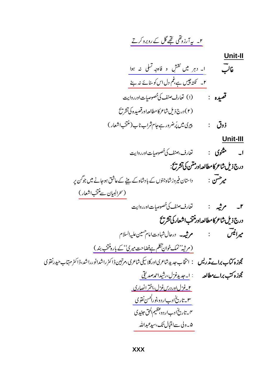<u>Unit-II</u>

 $Unit-III$ </u>

ا  
\n- 
$$
مثوی
$$
 نا  
\n-  $σلی ملاکه مطالعہا1و ملانی میاتی تاین نے تیاتی اشیاتی نینی ایدی، پر\n-  $σ1σ2$   
\n-  $σ1σ2$   
\n-  $σ1σ2$   
\n-  $σ1σ2$   
\n-  $σ1σ2$   
\n-  $σ1σ2$   
\n-  $σ1σ2$   
\n-  $σ1σ2$   
\n-  $σ1σ2$   
\n-  $σ1σ2$   
\n-  $σ1σ2$   
\n-  $σ1σ2$   
\n-  $σ1σ2$   
\n-  $σ1σ2$   
\n-  $σ1σ2$   
\n-  $σ1σ2$   
\n-  $σ1σ2$   
\n-  $σ1σ2$   
\n-  $σ1σ2$   
\n-  $σ1σ2$   
\n-  $σ1σ2$   
\n-  $σ1σ2$   
\n-  $σ1σ2$   
\n-  $σ1σ2$   
\n-  $σ1σ2$   
\n-  $σ1σ2$   
\n-  $σ<sup>1</sup>σ<sup>2</sup>$$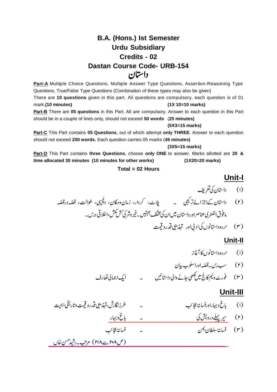## **B.A. (Hons.) Ist Semester Urdu Subsidiary Credits - 02 Dastan Course Code- URB-154** داستان

**Part-A** Multiple Choice Questions, Multiple Answer Type Questions, Assertion-Reasoning Type Questions, True/False Type Questions (Combination of these types may also be given) There are **10 questions** given in this part. All questions are compulsory, each question is of 01 mark.**(10 minutes) (1X 10=10 marks) Part-B** There are **05 questions** in this Part. All are compulsory. Answer to each question in this Part should be in a couple of lines only, should not exceed **50 words** (**25 minutes) (5X3=15 marks)**

**Part-C** This Part contains **05 Questions**, out of which attempt **only THREE**. Answer to each question should not exceed **200 words.** Each question carries 05 marks (**45 minutes)**

**(3X5=15 marks)**

**Part-D** This Part contains **three Questions**, choose **only ONE** to answer. Marks allotted are **20 & time allocated 30 minutes (10 minutes for other works) (1X20=20 marks)**

#### **Total = 02 Hours**

## **Unit-I**

- (۱) داستان کی تعریف بل<sub>ا</sub>ٹ، کردار، زمان<sub>ومکان، دلچپی، طوالت، قصّہ درقصّہ</sub> مافوق الفطريء ناصراورداستان میں ان کی مختلف جہتیں ۔خیر وشر کی کش مکش،اخلا قی درس۔
	- ( ۳ ) اردوداستانوں کی اد پی اور تہذیبی قدرو قمت

### **Unit-II**

- (۱) اردوداستانوں کا آغاز سب رس <mark>- قصّه</mark>
- (۲) سب رس۔قصّہ اوراسلوب بیان

## **Unit-III**

- - (۲) <u>سیر پہلےدرویش کی مستقیمہ مستقیمہ است کے باغ ویہار </u>
	- (۳) فسان*ة سلط*ان يمن

[\\_\\_\\_\\_\\_\\_\\_\\_\\_\\_\\_\\_\\_\\_\\_\\_\\_\\_\\_\\_\\_\\_\\_\\_\\_\\_\\_\\_\\_\\_\\_\\_\\_\\_\\_\\_\\_\\_\\_\\_\\_\\_\\_\\_\\_\\_\\_\\_\\_\\_\\_\\_\\_\\_\\_\\_\\_](https://www.rekhta.org/ebooks/fasana-e-ajaib-rajab-ali-beg-suroor-ebooks-4-1?lang=ur)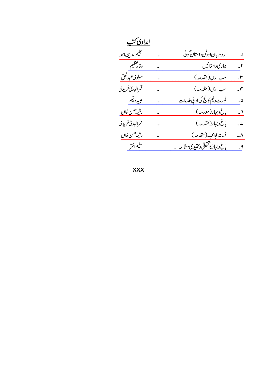| <u>امدادی کتب</u>  |                                       |                          |
|--------------------|---------------------------------------|--------------------------|
| كحكيم الدين احمه   | اردوز بان اورفن داستان گوئی           | $\overline{\phantom{a}}$ |
| وقارعظيم           | ہماری داستانیں                        | $\mathcal{I}$            |
| مولوي عبدالحق      | <u>سب رس(مقدمہ)</u>                   | $-^{\prime}$             |
| قمرالهد كافريدي    | سب رس(مقدمہ)                          | $\mathcal{I}$            |
| عبيده ببكم         | فور <u>ٹ ولیم کالج کی اد پی خدمات</u> | ۵۔                       |
| <u>رشیدحسن خان</u> | <u>باغ دېږار(مقدمه)</u>               | $-1$                     |
| قمرالهد كافريدي    | باغ دېږار(مقدمه)                      | $-2$                     |
| رشيدحسن خال        | فسانەًعجائب(مقدمہ)                    | $\mathcal{L}$            |
| سليم اختر          | باغ وبہار كاتحقيقى وتنقيدى مطالعه     | $-9$                     |

**XXX**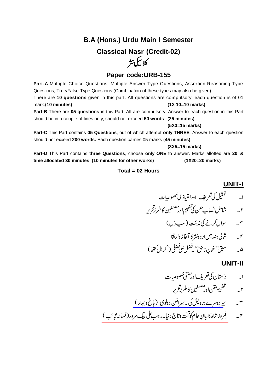## **B.A (Hons.) Urdu Main I Semester Classical Nasr (Credit-02)** كلاسكي نثر

## **Paper code:URB-155**

Part-A Multiple Choice Questions, Multiple Answer Type Questions, Assertion-Reasoning Type Questions, True/False Type Questions (Combination of these types may also be given) There are **10 questions** given in this part. All questions are compulsory, each question is of 01 mark.**(10 minutes) (1X 10=10 marks) Part-B** There are **05 questions** in this Part. All are compulsory. Answer to each question in this Part should be in a couple of lines only, should not exceed **50 words** (**25 minutes)**

**(5X3=15 marks)**

**Part-C** This Part contains **05 Questions**, out of which attempt **only THREE**. Answer to each question should not exceed **200 words.** Each question carries 05 marks (**45 minutes)**

**(3X5=15 marks)**

**Part-D** This Part contains **three Questions**, choose **only ONE** to answer. Marks allotted are **20 & time allocated 30 minutes (10 minutes for other works) (1X20=20 marks)**

#### **Total = 02 Hours**

#### **UNIT-I**

 

## **UNIT-II**

 

[\\_\\_\\_\\_\\_\\_\\_\\_\\_\\_\\_\\_\\_\\_\\_\\_\\_\\_\\_\\_\\_\\_\\_\\_\\_\\_\\_\\_\\_](https://www.rekhta.org/ebooks/bagh-o-bahar-mir-amman-ebooks-3?lang=ur) 

[\\_\\_\\_\\_\\_\\_\\_\\_\\_\\_\\_\\_\\_\\_\\_\\_\\_\\_\\_\\_\\_\\_\\_\\_\\_\\_\\_\\_\\_\\_\\_\\_\\_\\_\\_\\_\\_\\_\\_\\_](https://www.rekhta.org/ebooks/fasana-e-ajaib-rajab-ali-beg-suroor-ebooks-4-1?lang=ur)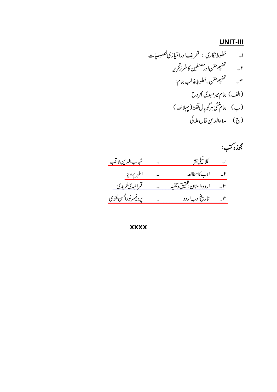## **UNIT-III**

مجوزه کتب:



**XXXX**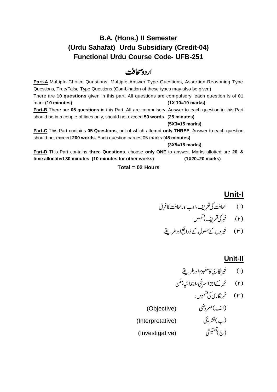## **B.A. (Hons.) II Semester (Urdu Sahafat) Urdu Subsidiary (Credit-04) Functional Urdu Course Code- UFB-251**

## اردومحافث

**Part-A** Multiple Choice Questions, Multiple Answer Type Questions, Assertion-Reasoning Type Questions, True/False Type Questions (Combination of these types may also be given) There are **10 questions** given in this part. All questions are compulsory, each question is of 01 mark.**(10 minutes) (1X 10=10 marks) Part-B** There are **05 questions** in this Part. All are compulsory. Answer to each question in this Part should be in a couple of lines only, should not exceed **50 words** (**25 minutes) (5X3=15 marks)**

**Part-C** This Part contains **05 Questions**, out of which attempt **only THREE**. Answer to each question should not exceed **200 words.** Each question carries 05 marks (**45 minutes)**

**(3X5=15 marks)**

**Part-D** This Part contains **three Questions**, choose **only ONE** to answer. Marks allotted are **20 & time allocated 30 minutes (10 minutes for other works) (1X20=20 marks)**

#### **Total = 02 Hours**

## **Unit-I**

## **Unit-II**

$$
(\mathbf{r}) = \dot{\mathbf{r}}_k \sum_{i=1}^k \mathbf{r}_i \mathbf{r}_i \mathbf{r}_i \mathbf{r}_i \mathbf{r}_i \mathbf{r}_i \mathbf{r}_i \mathbf{r}_i \mathbf{r}_i \mathbf{r}_i \mathbf{r}_i \mathbf{r}_i \mathbf{r}_i \mathbf{r}_i \mathbf{r}_i \mathbf{r}_i \mathbf{r}_i \mathbf{r}_i \mathbf{r}_i \mathbf{r}_i \mathbf{r}_i \mathbf{r}_i \mathbf{r}_i \mathbf{r}_i \mathbf{r}_i \mathbf{r}_i \mathbf{r}_i \mathbf{r}_i \mathbf{r}_i \mathbf{r}_i \mathbf{r}_i \mathbf{r}_i \mathbf{r}_i \mathbf{r}_i \mathbf{r}_i \mathbf{r}_i \mathbf{r}_i \mathbf{r}_i \mathbf{r}_i \mathbf{r}_i \mathbf{r}_i \mathbf{r}_i \mathbf{r}_i \mathbf{r}_i \mathbf{r}_i \mathbf{r}_i \mathbf{r}_i \mathbf{r}_i \mathbf{r}_i \mathbf{r}_i \mathbf{r}_i \mathbf{r}_i \mathbf{r}_i \mathbf{r}_i \mathbf{r}_i \mathbf{r}_i \mathbf{r}_i \mathbf{r}_i \mathbf{r}_i \mathbf{r}_i \mathbf{r}_i \mathbf{r}_i \mathbf{r}_i \mathbf{r}_i \mathbf{r}_i \mathbf{r}_i \mathbf{r}_i \mathbf{r}_i \mathbf{r}_i \mathbf{r}_i \mathbf{r}_i \mathbf{r}_i \mathbf{r}_i \mathbf{r}_i \mathbf{r}_i \mathbf{r}_i \mathbf{r}_i \mathbf{r}_i \mathbf{r}_i \mathbf{r}_i \mathbf{r}_i \mathbf{r}_i \mathbf{r}_i \mathbf{r}_i \mathbf{r}_i \mathbf{r}_i \mathbf{r}_i \mathbf{r}_i \mathbf{r}_i \mathbf{r}_i \mathbf{r}_i \mathbf{r}_i \mathbf{r}_i \mathbf{r}_i \mathbf{r}_i \mathbf{r}_i \mathbf{r}_i \mathbf{r}_i \mathbf{r}_i \mathbf{r}_i \mathbf{r}_i \mathbf{r}_i \mathbf{r}_i \mathbf{r}_i \mathbf{r
$$

- (۳) حمرنگاری کی قسمیں:
- (الف)معروضی) (Objective) (ب) نشری یې (Interpretative) (Investigative) (Investigative)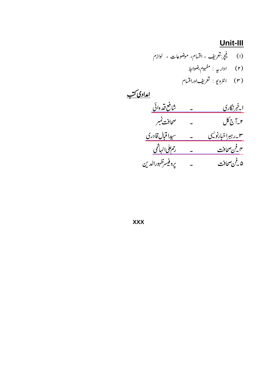## Unit-III

(۱) فیچج تعریف ، اقسام، موضوعات ، لوازم<br>(۲) اداریه : مفہوم،ضوابط<br>(۳) انٹرویو : تعریفاوراقسام

$$
\frac{1}{2} \frac{1}{2} \frac{1}{2} \frac{1}{2} \frac{1}{2} \frac{1}{2} \frac{1}{2} \frac{1}{2} \frac{1}{2} \frac{1}{2} \frac{1}{2} \frac{1}{2} \frac{1}{2} \frac{1}{2} \frac{1}{2} \frac{1}{2} \frac{1}{2} \frac{1}{2} \frac{1}{2} \frac{1}{2} \frac{1}{2} \frac{1}{2} \frac{1}{2} \frac{1}{2} \frac{1}{2} \frac{1}{2} \frac{1}{2} \frac{1}{2} \frac{1}{2} \frac{1}{2} \frac{1}{2} \frac{1}{2} \frac{1}{2} \frac{1}{2} \frac{1}{2} \frac{1}{2} \frac{1}{2} \frac{1}{2} \frac{1}{2} \frac{1}{2} \frac{1}{2} \frac{1}{2} \frac{1}{2} \frac{1}{2} \frac{1}{2} \frac{1}{2} \frac{1}{2} \frac{1}{2} \frac{1}{2} \frac{1}{2} \frac{1}{2} \frac{1}{2} \frac{1}{2} \frac{1}{2} \frac{1}{2} \frac{1}{2} \frac{1}{2} \frac{1}{2} \frac{1}{2} \frac{1}{2} \frac{1}{2} \frac{1}{2} \frac{1}{2} \frac{1}{2} \frac{1}{2} \frac{1}{2} \frac{1}{2} \frac{1}{2} \frac{1}{2} \frac{1}{2} \frac{1}{2} \frac{1}{2} \frac{1}{2} \frac{1}{2} \frac{1}{2} \frac{1}{2} \frac{1}{2} \frac{1}{2} \frac{1}{2} \frac{1}{2} \frac{1}{2} \frac{1}{2} \frac{1}{2} \frac{1}{2} \frac{1}{2} \frac{1}{2} \frac{1}{2} \frac{1}{2} \frac{1}{2} \frac{1}{2} \frac{1}{2} \frac{1}{2} \frac{1}{2} \frac{1}{2} \frac{1}{2} \frac{1}{2} \frac{1}{2} \frac{1}{2} \frac{1}{2} \frac{1}{2} \frac{1}{2} \frac{1}{2} \frac{1}{2} \frac{1}{2} \frac{1}{2} \frac{1}{2} \frac{1}{2} \frac{1}{2} \frac{
$$

**XXX**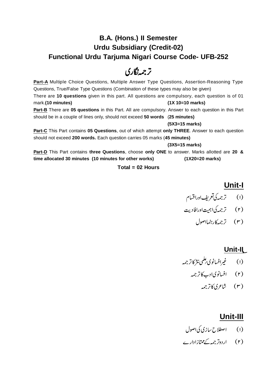## **B.A. (Hons.) II Semester Urdu Subsidiary (Credit-02) Functional Urdu Tarjuma Nigari Course Code- UFB-252**

## ترجمەنگارى

**Part-A** Multiple Choice Questions, Multiple Answer Type Questions, Assertion-Reasoning Type Questions, True/False Type Questions (Combination of these types may also be given) There are **10 questions** given in this part. All questions are compulsory, each question is of 01 mark.**(10 minutes) (1X 10=10 marks) Part-B** There are **05 questions** in this Part. All are compulsory. Answer to each question in this Part should be in a couple of lines only, should not exceed **50 words** (**25 minutes)**

**(5X3=15 marks)**

**Part-C** This Part contains **05 Questions**, out of which attempt **only THREE**. Answer to each question should not exceed **200 words.** Each question carries 05 marks (**45 minutes)**

**(3X5=15 marks)**

**Part-D** This Part contains **three Questions**, choose **only ONE** to answer. Marks allotted are **20 & time allocated 30 minutes (10 minutes for other works) (1X20=20 marks)**

### **Total = 02 Hours**

## **Unit-I**

- (۱) ترجمه کی تعریف اوراقسام
- (۲) ترجمه کیا<sub>اہمیت</sub>اورافادیت
	- (۳) ترجمه کار تنمااصول

## **Unit-II**

- (۱) ئىس فېرافسانوي *ئىل*مى نىژكاترجمە)
	- (۲) افسانویادب کاتر جمه
		- (۳) شاعری6ترجمه

## **Unit-III**

- (۱) اصطلاح سازی کی اصول
- (۲) اردوتر جمہ کے ممتازادارے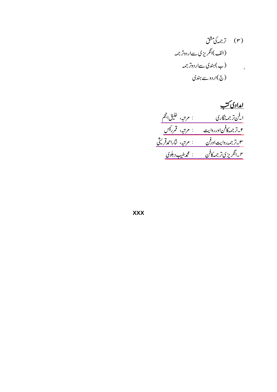$$
\frac{1}{2}
$$
\n
$$
\frac{1}{2}
$$
\n
$$
\frac{1}{2}
$$
\n
$$
\frac{1}{2}
$$
\n
$$
\frac{1}{2}
$$
\n
$$
\frac{1}{2}
$$
\n
$$
\frac{1}{2}
$$
\n
$$
\frac{1}{2}
$$
\n
$$
\frac{1}{2}
$$
\n
$$
\frac{1}{2}
$$
\n
$$
\frac{1}{2}
$$
\n
$$
\frac{1}{2}
$$
\n
$$
\frac{1}{2}
$$
\n
$$
\frac{1}{2}
$$
\n
$$
\frac{1}{2}
$$
\n
$$
\frac{1}{2}
$$
\n
$$
\frac{1}{2}
$$
\n
$$
\frac{1}{2}
$$
\n
$$
\frac{1}{2}
$$
\n
$$
\frac{1}{2}
$$
\n
$$
\frac{1}{2}
$$
\n
$$
\frac{1}{2}
$$
\n
$$
\frac{1}{2}
$$
\n
$$
\frac{1}{2}
$$
\n
$$
\frac{1}{2}
$$
\n
$$
\frac{1}{2}
$$
\n
$$
\frac{1}{2}
$$
\n
$$
\frac{1}{2}
$$
\n
$$
\frac{1}{2}
$$
\n
$$
\frac{1}{2}
$$
\n
$$
\frac{1}{2}
$$
\n
$$
\frac{1}{2}
$$
\n
$$
\frac{1}{2}
$$
\n
$$
\frac{1}{2}
$$
\n
$$
\frac{1}{2}
$$
\n
$$
\frac{1}{2}
$$
\n
$$
\frac{1}{2}
$$
\n
$$
\frac{1}{2}
$$
\n
$$
\frac{1}{2}
$$
\n
$$
\frac{1}{2}
$$
\n
$$
\frac{1}{2}
$$
\n
$$
\frac{1}{2}
$$
\n
$$
\frac{1}{2}
$$
\n
$$
\frac{1}{2}
$$
\n
$$
\frac{1}{2}
$$
\n
$$
\frac{1}{2}
$$
\n
$$
\frac{1}{2}
$$
\n
$$
\frac{1}{2}
$$
\n
$$
\frac{1}{2}
$$
\n
$$
\frac{1}{2}
$$
\n
$$
\frac{1}{2}
$$
\

**XXX**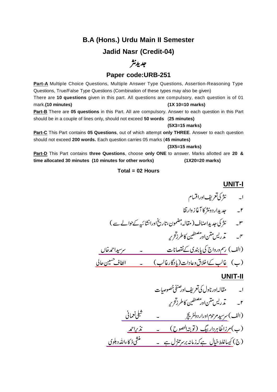## **B.A (Hons.) Urdu Main II Semester Jadid Nasr (Credit-04)**

## جديدنثر

### **Paper code:URB-251**

**Part-A** Multiple Choice Questions, Multiple Answer Type Questions, Assertion-Reasoning Type Questions, True/False Type Questions (Combination of these types may also be given) There are **10 questions** given in this part. All questions are compulsory, each question is of 01 mark.**(10 minutes) (1X 10=10 marks) Part-B** There are **05 questions** in this Part. All are compulsory. Answer to each question in this Part should be in a couple of lines only, should not exceed **50 words** (**25 minutes)**

## **(5X3=15 marks)**

**Part-C** This Part contains **05 Questions**, out of which attempt **only THREE**. Answer to each question should not exceed **200 words.** Each question carries 05 marks (**45 minutes)**

**(3X5=15 marks)**

**Part-D** This Part contains **three Questions**, choose **only ONE** to answer. Marks allotted are **20 & time allocated 30 minutes (10 minutes for other works) (1X20=20 marks)**

#### **Total = 02 Hours**

### **UNIT-I**

(الف) ر<u>سمورواج کی پابندی کےنقصانات مصطلحہ کے مستقبل احمد خاں </u> (ب) غا<u>لب کےاخلاق وعادات(یادگارغالب) ۔ الطاف حسین حالی</u> [\\_\\_\\_\\_\\_\\_\\_\\_\\_\\_\\_\\_\\_\\_\\_\\_\\_\\_\\_\\_\\_\\_\\_\\_\\_\\_\\_\\_\\_\\_\\_\\_\\_\\_](https://www.rekhta.org/ebooks/intikhab-mazameen-e-shibli-shibli-nomani-ebooks?lang=ur#) <u>زاطاہردار بیگ (تو بتہانصوح) کے تذکراحمد </u> (ج) کی<u>باغلط خیال ہے کہ زمانہ برسر تنزل ہے</u> ۔ مستع<u>ملی ذکاءاللہ دہلوی</u> ٣۔ نثر کی جدیداصاف (مقالہ بہضمون،تاریخ اورانشائیہ کےحوالے سے ) تذريس مثن اور مصنفين<br>ر **UNIT-II** تذريس مثن اور ت<br>مصنفین<br>رئیسنی ۲\_ \_\_\_\_\_\_تدريس متن اور مصنفين كاطرزتحرير (الف) <u>سرسید مرحو</u>م اوراردوگٹری<del>چ</del>ر مسیحت مسلسلے کے مسلمانی کی اقعانی ک (ب)م<u>رزاظاہردار بیگ (توبتہا<sup>لص</sup>وح) ۔ نذراحمد</u>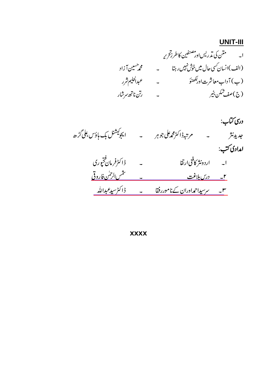### **UNIT-III**

دری کتاب: ب<br>ا۔ اردونثر کافنی ارتقا ہے ۔ ڈاکٹرفرمان فتحپوری<br><u>۲۔ درس بلاغت کناموررفقا ۔ ڈاکٹرسیدعبداللہ</u><br>س<u> سرسیداحمدادران کےناموررفقا ۔ ڈاکٹرسیدعبداللہ</u>

**XXXX**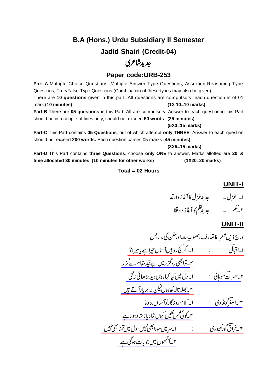## **B.A (Hons.) Urdu Subsidiary II Semester Jadid Shairi (Credit-04)**

## جديد ثاعري

## **Paper code:URB-253**

**Part-A** Multiple Choice Questions, Multiple Answer Type Questions, Assertion-Reasoning Type Questions, True/False Type Questions (Combination of these types may also be given) There are **10 questions** given in this part. All questions are compulsory, each question is of 01 mark.**(10 minutes) (1X 10=10 marks) Part-B** There are **05 questions** in this Part. All are compulsory. Answer to each question in this Part should be in a couple of lines only, should not exceed **50 words** (**25 minutes)**

#### **(5X3=15 marks)**

**Part-C** This Part contains **05 Questions**, out of which attempt **only THREE**. Answer to each question should not exceed **200 words.** Each question carries 05 marks (**45 minutes)**

**(3X5=15 marks)**

**Part-D** This Part contains **three Questions**, choose **only ONE** to answer. Marks allotted are **20 & time allocated 30 minutes (10 minutes for other works) (1X20=20 marks)**

#### **Total = 02 Hours**

**UNIT-I**



## **UNIT-II**

$$
\frac{1}{2}
$$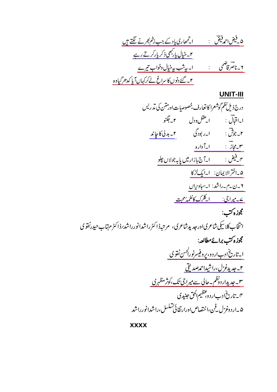## **UNIT-III**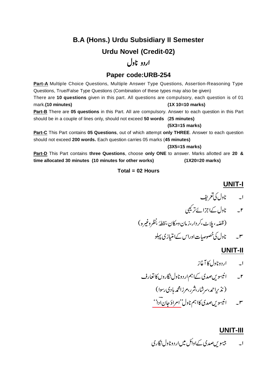# **B.A (Hons.) Urdu Subsidiary II Semester Urdu Novel (Credit-02)**

## اردو ناول

## **Paper code:URB-254**

**Part-A** Multiple Choice Questions, Multiple Answer Type Questions, Assertion-Reasoning Type Questions, True/False Type Questions (Combination of these types may also be given) There are **10 questions** given in this part. All questions are compulsory, each question is of 01 mark.**(10 minutes) (1X 10=10 marks) Part-B** There are **05 questions** in this Part. All are compulsory. Answer to each question in this Part should be in a couple of lines only, should not exceed **50 words** (**25 minutes)**

#### **(5X3=15 marks)**

**Part-C** This Part contains **05 Questions**, out of which attempt **only THREE**. Answer to each question should not exceed **200 words.** Each question carries 05 marks (**45 minutes)**

**(3X5=15 marks)**

**Part-D** This Part contains **three Questions**, choose **only ONE** to answer. Marks allotted are **20 & time allocated 30 minutes (10 minutes for other works) (1X20=20 marks)**

### **Total = 02 Hours**

## **UNIT-I**

- 
- ۲۔ ناول کےاجزائےتر کیبی

 

۳۔ ناول کی خصوصات اوراس کےامتیازی پہلو

### **UNIT-II**

- ا۔ اردوناول کا آغاز
- ۳\_\_\_\_\_انیسویں *صد*ی کااہم ناول<sup>''</sup> <u>امراؤ جان ادا'</u>' ۲۔ انیسویںصدی کےاہم اردوناول نگاروں کا تعارف (نذیراحمہ سرشار،شرر،مرزامحمہ ہادی رسوا)

## **UNIT-III**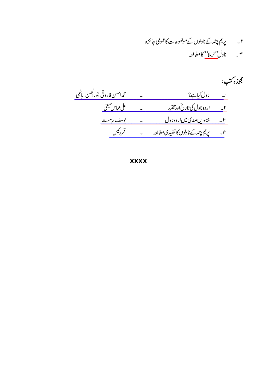۲۔ پریم چند کے ناولوں کے موضوعات کاعمومی جائزہ ۳\_\_\_\_ ناول''نرملاٗ' کامطالعہ

مجوزه کتب: ا۔ ناول کیاہے؟<br>۲۔ اردوناول کی تاریخ اور تنقید ہے ۔ میں معلوم کیا سکتی ہے۔<br>۲۔ اردوناول کی تاریخ اور تنقید ہے ۔ میں معلوم پاس سینی <u>س پیسویں صدی میں اردوناول کے لیے مست</u> ۳۔ پریم چند کےناولوں کا تنقیدی مطالعہ ہے ۔ قمررئیس

**XXXX**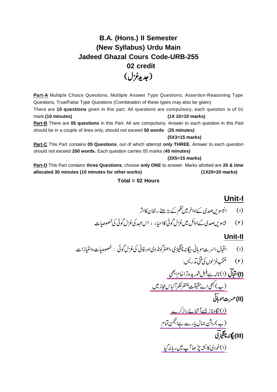## **B.A. (Hons.) II Semester (New Syllabus) Urdu Main Jadeed Ghazal Cours Code-URB-255 02 credit** (جديدغزل)

**Part-A** Multiple Choice Questions, Multiple Answer Type Questions, Assertion-Reasoning Type Questions, True/False Type Questions (Combination of these types may also be given) There are **10 questions** given in this part. All questions are compulsory, each question is of 01 mark.**(10 minutes) (1X 10=10 marks) Part-B** There are **05 questions** in this Part. All are compulsory. Answer to each question in this Part

 **(5X3=15 marks) Part-C** This Part contains **05 Questions**, out of which attempt **only THREE**. Answer to each question

should be in a couple of lines only, should not exceed **50 words** (**25 minutes)**

should not exceed **200 words.** Each question carries 05 marks (**45 minutes)**

**(3X5=15 marks)**

**Part-D** This Part contains **three Questions**, choose **only ONE** to answer. Marks allotted are **20 & time allocated 30 minutes (10 minutes for other works) (1X20=20 marks)**

**Total = 02 Hours**

## **Unit-I**

### **Unit-II**

(7)  
\n
$$
\begin{aligned}\n&\psi(t) \\
&\psi(t) \\
&\psi(t) \\
&\psi(t) \\
&\psi(t) \\
&\psi(t) \\
&\psi(t) \\
&\psi(t) \\
&\psi(t) \\
&\psi(t) \\
&\psi(t) \\
&\psi(t) \\
&\psi(t) \\
&\psi(t) \\
&\psi(t) \\
&\psi(t) \\
&\psi(t) \\
&\psi(t) \\
&\psi(t) \\
&\psi(t) \\
&\psi(t) \\
&\psi(t) \\
&\psi(t) \\
&\psi(t) \\
&\psi(t) \\
&\psi(t) \\
&\psi(t) \\
&\psi(t) \\
&\psi(t) \\
&\psi(t) \\
&\psi(t) \\
&\psi(t) \\
&\psi(t) \\
&\psi(t) \\
&\psi(t) \\
&\psi(t) \\
&\psi(t) \\
&\psi(t) \\
&\psi(t) \\
&\psi(t) \\
&\psi(t) \\
&\psi(t) \\
&\psi(t) \\
&\psi(t) \\
&\psi(t) \\
&\psi(t) \\
&\psi(t) \\
&\psi(t) \\
&\psi(t) \\
&\psi(t) \\
&\psi(t) \\
&\psi(t) \\
&\psi(t) \\
&\psi(t) \\
&\psi(t) \\
&\psi(t) \\
&\psi(t) \\
&\psi(t) \\
&\psi(t) \\
&\psi(t) \\
&\psi(t) \\
&\psi(t) \\
&\psi(t) \\
&\psi(t) \\
&\psi(t) \\
&\psi(t) \\
&\psi(t) \\
&\psi(t) \\
&\psi(t) \\
&\psi(t) \\
&\psi(t) \\
&\psi(t) \\
&\psi(t) \\
&\psi(t) \\
&\psi(t) \\
&\psi(t) \\
&\psi(t) \\
&\psi(t) \\
&\psi(t) \\
&\psi(t) \\
&\psi(t) \\
&\psi(t) \\
&\psi(t) \\
&\psi(t) \\
&\psi(t) \\
&\psi(t) \\
&\psi(t) \\
&\psi(t) \\
&\psi(t) \\
&\psi(t) \\
&\psi(t) \\
&\psi(t) \\
&\psi(t) \\
&\psi(t) \\
&\psi(t) \\
&\psi(t) \\
&\psi(t) \\
&\psi(t) \\
&\psi(t) \\
&\psi(t) \\
&\psi(t) \\
&\psi(t) \\
&\psi(t) \\
&\psi(t) \\
&\psi(t) \\
&\psi(t) \\
&\psi(t) \\
&\psi(t) \\
&\psi(t) \\
&\psi(t) \\
&\psi(t) \\
&\psi(t) \\
&\psi(t) \\
&\psi(t) \\
&\psi(t) \\
&\psi(t) \\
&\psi(t) \\
&\psi(t) \\
&\psi(t) \\
&\psi(t) \\
&\psi(t) \\
&\psi(t) \\
&\psi(t) \\
&\psi(t) \\
&\psi(t
$$

<u>(۱)خودی کانشه چڑھا آپ میں رہانہ گیا</u>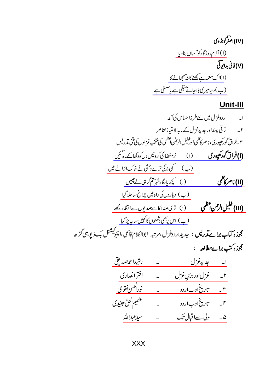(IV)اصغرگونڈوی <u>(۱) آلام روزگارکوآ سال بنادیا</u> ریک کا استعمال کے استعمال کیا۔<br>(۱)فانی بدائوتی<br>(۱)اک معمہ ہے سیمجھنے کا نہ ہچھانے کا<br>(ب)دنیا میر کی بلاجائے مہنگی ہے یاستی ہے

## Unit-III

$$
\frac{1}{\sqrt{2}}\n \frac{1}{\sqrt{2}}\n \frac{1}{\sqrt{2}}\n \frac{1}{\sqrt{2}}\n \frac{1}{\sqrt{2}}\n \frac{1}{\sqrt{2}}\n \frac{1}{\sqrt{2}}\n \frac{1}{\sqrt{2}}\n \frac{1}{\sqrt{2}}\n \frac{1}{\sqrt{2}}\n \frac{1}{\sqrt{2}}\n \frac{1}{\sqrt{2}}\n \frac{1}{\sqrt{2}}\n \frac{1}{\sqrt{2}}\n \frac{1}{\sqrt{2}}\n \frac{1}{\sqrt{2}}\n \frac{1}{\sqrt{2}}\n \frac{1}{\sqrt{2}}\n \frac{1}{\sqrt{2}}\n \frac{1}{\sqrt{2}}\n \frac{1}{\sqrt{2}}\n \frac{1}{\sqrt{2}}\n \frac{1}{\sqrt{2}}\n \frac{1}{\sqrt{2}}\n \frac{1}{\sqrt{2}}\n \frac{1}{\sqrt{2}}\n \frac{1}{\sqrt{2}}\n \frac{1}{\sqrt{2}}\n \frac{1}{\sqrt{2}}\n \frac{1}{\sqrt{2}}\n \frac{1}{\sqrt{2}}\n \frac{1}{\sqrt{2}}\n \frac{1}{\sqrt{2}}\n \frac{1}{\sqrt{2}}\n \frac{1}{\sqrt{2}}\n \frac{1}{\sqrt{2}}\n \frac{1}{\sqrt{2}}\n \frac{1}{\sqrt{2}}\n \frac{1}{\sqrt{2}}\n \frac{1}{\sqrt{2}}\n \frac{1}{\sqrt{2}}\n \frac{1}{\sqrt{2}}\n \frac{1}{\sqrt{2}}\n \frac{1}{\sqrt{2}}\n \frac{1}{\sqrt{2}}\n \frac{1}{\sqrt{2}}\n \frac{1}{\sqrt{2}}\n \frac{1}{\sqrt{2}}\n \frac{1}{\sqrt{2}}\n \frac{1}{\sqrt{2}}\n \frac{1}{\sqrt{2}}\n \frac{1}{\sqrt{2}}\n \frac{1}{\sqrt{2}}\n \frac{1}{\sqrt{2}}\n \frac{1}{\sqrt{2}}\n \frac{1}{\sqrt{2}}\n \frac{1}{\sqrt{2}}\n \frac{1}{\sqrt{2}}\n \frac{1}{\sqrt{2}}\n \frac{1}{\sqrt{2}}\n \frac{1}{\sqrt{2}}\n \frac{1}{\sqrt{2}}\n \frac{1}{\sqrt{2}}\n \frac{
$$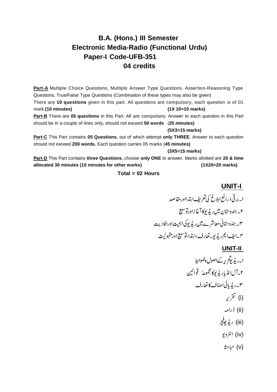## **B.A. (Hons.) III Semester Electronic Media-Radio (Functional Urdu) Paper-I Code-UFB-351 04 credits**

Part-A Multiple Choice Questions, Multiple Answer Type Questions, Assertion-Reasoning Type Questions, True/False Type Questions (Combination of these types may also be given) There are **10 questions** given in this part. All questions are compulsory, each question is of 01 mark.**(10 minutes) (1X 10=10 marks)**

**Part-B** There are **05 questions** in this Part. All are compulsory. Answer to each question in this Part should be in a couple of lines only, should not exceed **50 words** (**25 minutes)**

#### **(5X3=15 marks)**

**Part-C** This Part contains **05 Questions**, out of which attempt **only THREE**. Answer to each question should not exceed **200 words.** Each question carries 05 marks (**45 minutes)**

#### **(3X5=15 marks)**

**Part-D** This Part contains **three Questions**, choose **only ONE** to answer. Marks allotted are **20 & time allocated 30 minutes (10 minutes for other works) (1X20=20 marks)**

#### **Total = 02 Hours**

### **UNIT-I**

 

#### **UNIT-II**

 (i) (ii) (iii) (iv) (v)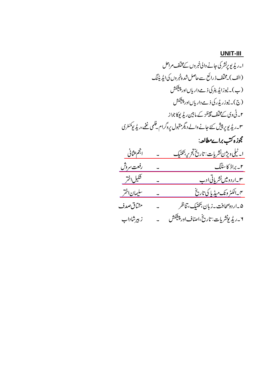## **UNIT-III**

$$
\frac{1}{2} \int_{0}^{2} f(t) \frac{t}{2} \left( \frac{t}{2} + \frac{t}{2} \right) dt
$$
\n
$$
\frac{1}{2} \int_{0}^{2} f(t) \frac{t}{2} \left( \frac{t}{2} + \frac{t}{2} \right) dt
$$
\n
$$
\frac{1}{2} \int_{0}^{2} f(t) \frac{t}{2} \left( \frac{t}{2} + \frac{t}{2} \right) dt
$$
\n
$$
\frac{1}{2} \int_{0}^{2} f(t) \frac{t}{2} \left( \frac{t}{2} + \frac{t}{2} \right) dt
$$
\n
$$
\frac{1}{2} \int_{0}^{2} f(t) \frac{t}{2} \left( \frac{t}{2} + \frac{t}{2} \right) dt
$$
\n
$$
\frac{1}{2} \int_{0}^{2} f(t) \frac{t}{2} \left( \frac{t}{2} + \frac{t}{2} \right) dt
$$
\n
$$
\frac{1}{2} \int_{0}^{2} f(t) \frac{t}{2} \left( \frac{t}{2} + \frac{t}{2} \right) dt
$$
\n
$$
\frac{1}{2} \int_{0}^{2} f(t) \frac{t}{2} \left( \frac{t}{2} + \frac{t}{2} \right) dt
$$
\n
$$
\frac{1}{2} \int_{0}^{2} f(t) \frac{t}{2} \left( \frac{t}{2} + \frac{t}{2} \right) dt
$$
\n
$$
\frac{1}{2} \int_{0}^{2} f(t) \frac{t}{2} \left( \frac{t}{2} + \frac{t}{2} \right) dt
$$
\n
$$
\frac{1}{2} \int_{0}^{2} f(t) \frac{t}{2} \left( \frac{t}{2} + \frac{t}{2} \right) dt
$$
\n
$$
\frac{1}{2} \int_{0}^{2} f(t) \frac{t}{2} \left( \frac{t}{2} + \frac{t}{2} \right) dt
$$
\n
$$
\frac{1}{2} \int_{0}^{2} f(t) \frac{t}{2} \left( \frac{t}{2} + \frac{t}{2} \right) dt
$$
\n
$$
\frac{1}{2} \int_{0}^{2} f(t) \frac{t}{2} \left( \frac{
$$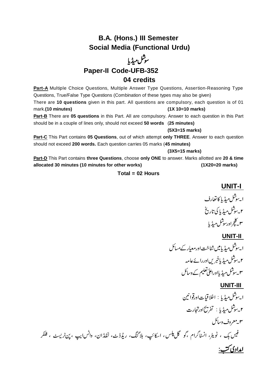## **B.A. (Hons.) III Semester Social Media (Functional Urdu)**

# سوشل میڈیا **Paper-II Code-UFB-352**

### **04 credits**

Part-A Multiple Choice Questions, Multiple Answer Type Questions, Assertion-Reasoning Type Questions, True/False Type Questions (Combination of these types may also be given) There are **10 questions** given in this part. All questions are compulsory, each question is of 01 mark.**(10 minutes) (1X 10=10 marks)**

**Part-B** There are **05 questions** in this Part. All are compulsory. Answer to each question in this Part should be in a couple of lines only, should not exceed **50 words** (**25 minutes)**

#### **(5X3=15 marks)**

**Part-C** This Part contains **05 Questions**, out of which attempt **only THREE**. Answer to each question should not exceed **200 words.** Each question carries 05 marks (**45 minutes)**

#### **(3X5=15 marks)**

**Part-D** This Part contains **three Questions**, choose **only ONE** to answer. Marks allotted are **20 & time allocated 30 minutes (10 minutes for other works) (1X20=20 marks)**

#### **Total = 02 Hours**

 $\ddot{\cdot}$ 

**UNIT-I** 

ا۔ سِتْل میڈیا کا تعارف ۲۔ سِتْس میڈیا کی تاریخ ۳\_کلچراورسوشل میڈیا

#### **UNIT-II**

 

#### **UNIT-III**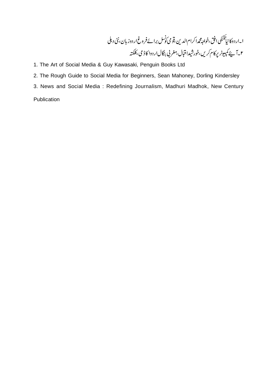ا -اردوكانيا نكئكى  $\vdots$ l .<br>. ننگهٔ افق ،خواجه محمدا کرام الدین ،قو می کوشل برائے فروغ اردوز بان ،نئی د،ملی ۲۔آ پئے کمپیوٹر پرکام کریں،خورشیدا قبال،مغربی بنگالاردوا کاڈ می،کلکتہ

- 1. The Art of Social Media & Guy Kawasaki, Penguin Books Ltd
- 2. The Rough Guide to Social Media for Beginners, Sean Mahoney, Dorling Kindersley
- 3. News and Social Media : Redefining Journalism, Madhuri Madhok, New Century

Publication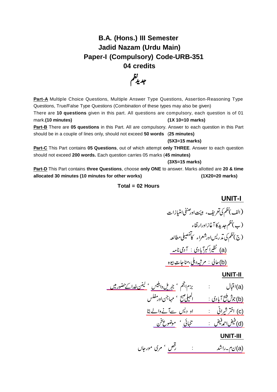## **B.A. (Hons.) III Semester Jadid Nazam (Urdu Main) Paper-I (Compulsory) Code-URB-351 04 credits**



Part-A Multiple Choice Questions, Multiple Answer Type Questions, Assertion-Reasoning Type Questions, True/False Type Questions (Combination of these types may also be given)

There are **10 questions** given in this part. All questions are compulsory, each question is of 01 mark.**(10 minutes) (1X 10=10 marks)**

**Part-B** There are **05 questions** in this Part. All are compulsory. Answer to each question in this Part should be in a couple of lines only, should not exceed **50 words** (**25 minutes)**

**(5X3=15 marks)**

**Part-C** This Part contains **05 Questions**, out of which attempt **only THREE**. Answer to each question should not exceed **200 words.** Each question carries 05 marks (**45 minutes)**

#### **(3X5=15 marks)**

**Part-D** This Part contains **three Questions**, choose **only ONE** to answer. Marks allotted are **20 & time allocated 30 minutes (10 minutes for other works) (1X20=20 marks)**

#### **Total = 02 Hours**

**UNIT-I** 

[\\_\\_\\_\\_\\_\\_\\_\\_\\_\\_\\_\\_\\_\\_\\_\\_\\_](https://www.rekhta.org/nazms/aadmii-naama-nazeer-akbarabadi-nazms?lang=ur) [\\_\\_\\_\\_\\_\\_\\_](https://www.rekhta.org/nazms/munaajaat-e-beva-altaf-hussain-hali-nazms?lang=ur) [\\_\\_\\_\\_\\_\\_\\_\\_\\_\\_\\_](https://www.rekhta.org/nazms/marsiya-e-dehli-e-marhuum-altaf-hussain-hali-nazms?lang=ur) (a) (b)

#### **UNIT-II**

[\\_\\_\\_\\_\\_\\_\\_\\_\\_\\_\\_\\_](https://www.rekhta.org/nazms/lenin-khudaa-ke-huzuur-men-allama-iqbal-nazms?lang=ur) [\\_\\_\\_\\_\\_\\_\\_](https://www.rekhta.org/nazms/jibraiil-o-ibliis-allama-iqbal-nazms?lang=ur) [\\_\\_\\_\\_\\_\\_\\_\\_\\_\\_\\_\\_\\_\\_\\_\\_\\_\\_\\_\\_](https://www.rekhta.org/nazms/albelii-subh-josh-malihabadi-nazms?lang=ur) [\\_\\_\\_\\_\\_\\_\\_\\_\\_\\_\\_\\_\\_\\_\\_\\_\\_\\_\\_\\_\\_\\_\\_\\_\\_\\_\\_\\_\\_\\_\\_](https://www.rekhta.org/nazms/o-des-se-aane-vaale-bataa-akhtar-shirani-nazms?lang=ur) [\\_\\_\\_\\_\\_\\_\\_](https://www.rekhta.org/nazms/mauzuu-e-sukhan-gul-huii-jaatii-hai-afsurda-sulagtii-huii-shaam-faiz-ahmad-faiz-nazms?lang=ur) [\\_\\_\\_\\_\\_\\_\\_\\_\\_\\_\\_\\_\\_\\_\\_\\_\\_\\_\\_](https://www.rekhta.org/nazms/tanhaaii-phir-koii-aayaa-dil-e-zaar-nahiin-koii-nahiin-faiz-ahmad-faiz-nazms?lang=ur) (a) (b) (c) (d)

### <u>UNIT-III</u>

(a<u>)نم-راشد : زمست : رفض</u> مرگ مورجان)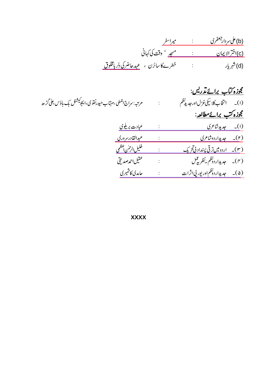| ميراسفر                                     | (b) على سردار جعفري |
|---------------------------------------------|---------------------|
| <u>مسجد</u> ' وقت کی کہائی                  | (c)اختر الإيمان     |
| خطرےکا سائرن ، <u>عہدحاضرکی دلر بامخلوق</u> | (d) شهریار          |

| مرتبہ: سراج ا <sup>جم</sup> لی ،مہتاب حیدرنفو ی،ایجوکیشنل بک ہاؤ <sup>س ع</sup> لی گڑھ | <u>گوزه کتاب برائے تذریس:</u><br><u>مجوزه کتب برائے مطالعہ</u> : |
|----------------------------------------------------------------------------------------|------------------------------------------------------------------|
| <u>عبادت بریلوی</u>                                                                    | (ا <u>) -</u> جدیدشاعری                                          |
| <u>عبدالقادرسروري</u>                                                                  | (۲ <u>)- جدیداردوشاعری</u>                                       |
| خليل الرحس أعظمى                                                                       | <u>(۳)۔ اردومیں ترقی پسداد پی تحریک</u>                          |
| عقيل احمدصد نقي                                                                        |                                                                  |
| حامدي كاشميري                                                                          | (۵)۔ جدیداردونظماور بور پیااثرات                                 |

**XXXX**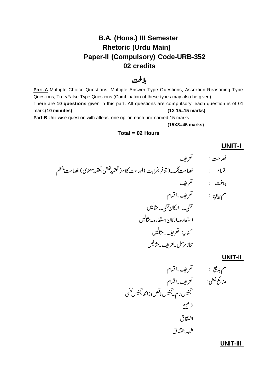## **B.A. (Hons.) III Semester Rhetoric (Urdu Main) Paper-II (Compulsory) Code-URB-352 02 credits**

## بلاغت

Part-A Multiple Choice Questions, Multiple Answer Type Questions, Assertion-Reasoning Type Questions, True/False Type Questions (Combination of these types may also be given) There are **10 questions** given in this part. All questions are compulsory, each question is of 01 mark.**(10 minutes) (1X 15=15 marks)** Part-B Unit wise question with atleast one option each unit carried 15 marks.

**(15X3=45 marks)**

#### **Total = 02 Hours**

# فصاحت : تعريف بلاغت : <sup>تع</sup>ريف تشبيهه اركان تشبيهه مثالين استعاره باركان استعاره بتثالين کنا<sub>س</sub>ے: گعریف۔مثالیں مجازمرسل يتعريف بهثاليس

#### **UNIT-II**

علم بديع :

صائع نفظى:

**UNIT-I** 

 

**UNIT-III**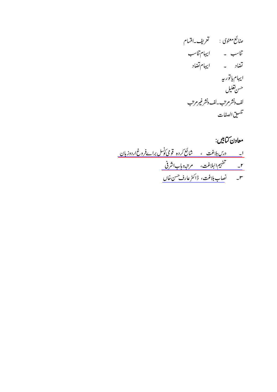# معاون کتابیں:

| ٢_ للمستفهيم البلاغت، للمرتبه وباب اشرفي للمستخفي                   |  |
|---------------------------------------------------------------------|--|
| ۳-                                     فائس عارف <sup>حسن</sup> خال |  |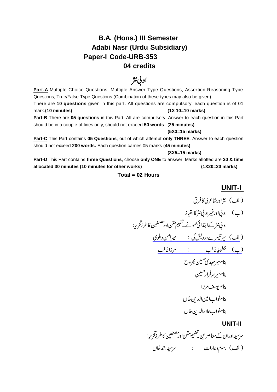## **B.A. (Hons.) III Semester Adabi Nasr (Urdu Subsidiary) Paper-I Code-URB-353 04 credits**

# ادنی نثر

Part-A Multiple Choice Questions, Multiple Answer Type Questions, Assertion-Reasoning Type Questions, True/False Type Questions (Combination of these types may also be given) There are **10 questions** given in this part. All questions are compulsory, each question is of 01 mark.**(10 minutes) (1X 10=10 marks) Part-B** There are **05 questions** in this Part. All are compulsory. Answer to each question in this Part

should be in a couple of lines only, should not exceed **50 words** (**25 minutes)**

#### **(5X3=15 marks)**

**Part-C** This Part contains **05 Questions**, out of which attempt **only THREE**. Answer to each question should not exceed **200 words.** Each question carries 05 marks (**45 minutes)**

#### **(3X5=15 marks)**

**Part-D** This Part contains **three Questions**, choose **only ONE** to answer. Marks allotted are **20 & time allocated 30 minutes (10 minutes for other works) (1X20=20 marks)**

#### **Total = 02 Hours**

## **UNIT-I**

[\\_\\_\\_\\_\\_\\_\\_\\_\\_\\_\\_\\_\\_\\_\\_\\_\\_\\_\\_\\_\\_\\_\\_\\_\\_\\_\\_](https://www.rekhta.org/ebooks/khutoot-e-ghalib-mirza-ghalib-ebooks-1?lang=ur) [\\_\\_\\_\\_\\_\\_\\_\\_\\_\\_\\_\\_\\_\\_\\_\\_\\_\\_\\_\\_\\_\\_\\_\\_\\_\\_\\_\\_](https://www.rekhta.org/ebooks/bagh-o-bahar-mir-amman-ebooks-8?lang=ur) 

### **UNIT-II**

سر سیداوران کے معاصر <sup>ہ</sup>یں۔ تفہیم ممکن اور مصنفين<sup>،</sup><br>ر <sup>نفي</sup>ن كاطرز*قح ي*ه: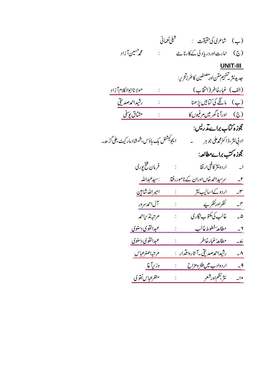| شبلى نعمانى<br>(ب) شاعرى كى حقيقت :                                                                  |
|------------------------------------------------------------------------------------------------------|
| (ج) امارت اوردریا دلی کے کارنامے<br>محم <sup>حسين</sup> آزاد<br>$\mathbb{R}^{\mathbb{Z}^{\times}}$   |
| <b>UNIT-III</b>                                                                                      |
| جد يدنثر قى <sup>قى</sup> بىم تىن اور مصنفى <sub>ت</sub> ى كاطرز <i>قرىي</i> :                       |
| (الف) غبارخاطر (انتخاب)<br>مولاناابوالکلام <u>آزاد</u><br>$\vdots$                                   |
| (ب) مانگے کی <i>کتابیں پڑھ</i> نا<br>رشيداحمەصدىقى                                                   |
| مشآق يوسفى<br><u>(ج) اورآناگھرمیں مرغبوں کا</u>                                                      |
| مجوزه <i>کت</i> اب براےت <b>د</b> ریس:                                                               |
| ا يجو <sup>كيشنل</sup> بك م <sub>ا</sub> ؤس،شمشاد ماركي <i>ث، على گر</i> ُّ ھ <b></b> ۔              |
| مجوزه کتب براےمطالعہ:                                                                                |
| فرمان فتح پوری<br>$\langle \cdot, \cdot \rangle$                                                     |
| :سي <i>دعبد</i> الله<br>سرسیداحمہ خاںاوران کے ناموررفقا<br>$-\frac{r}{2}$                            |
| <u>امپراللدشامین</u><br>اردو کےاسالیب نثر<br>$\mathcal{X} \subset \mathcal{X}$<br>$-^{\prime\prime}$ |
| نظرادرنظر پے<br><u>آل</u> احم <i>د مر</i> ور<br>$-\infty$                                            |
| غالب كى مكتوب نگارى<br>مرتبه نذيراحمه<br>$\mathbb{R}^{\mathbb{Z}}$<br>$\overline{\phantom{a}}$       |
| <u>مطالعهٔ خطوط غالب</u><br>عبدالقوي دسنوي<br>$\mathbf{y}$                                           |
| <u>عبدالقوي دسنوي</u><br>مطالعهُ غبارخاطر<br>$\angle$                                                |
| رشيداحمەصدىقى ـآ ثارواقدار   :<br>مرتبهاصغرعباس                                                      |
| <u>اردوادب میں طنز ومزاح</u><br>وزريآغا<br>$-9$                                                      |
| نثر بظماورشعر<br>منظرعباس نفوي<br>$-1$                                                               |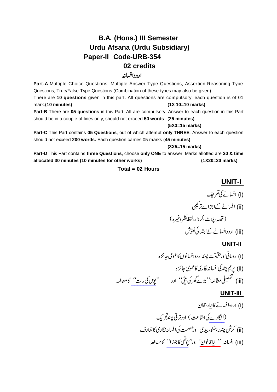## **B.A. (Hons.) III Semester Urdu Afsana (Urdu Subsidiary) Paper-II Code-URB-354 02 credits** اردوافسانه

Part-A Multiple Choice Questions, Multiple Answer Type Questions, Assertion-Reasoning Type Questions, True/False Type Questions (Combination of these types may also be given) There are **10 questions** given in this part. All questions are compulsory, each question is of 01 mark.**(10 minutes) (1X 10=10 marks) Part-B** There are **05 questions** in this Part. All are compulsory. Answer to each question in this Part should be in a couple of lines only, should not exceed **50 words** (**25 minutes)**

**(5X3=15 marks)**

**Part-C** This Part contains **05 Questions**, out of which attempt **only THREE**. Answer to each question should not exceed **200 words.** Each question carries 05 marks (**45 minutes)**

**(3X5=15 marks)**

**Part-D** This Part contains **three Questions**, choose **only ONE** to answer. Marks allotted are **20 & time allocated 30 minutes (10 minutes for other works) (1X20=20 marks)**

#### **Total = 02 Hours**

**UNIT-I** 

 (i) (ii) (iii)

#### **UNIT-II**

[\\_\\_\\_\\_\\_\\_\\_\\_](https://www.rekhta.org/manto/poos-ki-raat-munshi-prem-chand-manto?lang=ur) (i) (ii) (iii)

#### **UNIT-III**

[\\_\\_\\_\\_\\_\\_](https://www.rekhta.org/manto/naya-qanun-saadat-hasan-manto-manto?lang=ur) [\\_\\_\\_\\_\\_\\_\\_](https://www.rekhta.org/manto/chauthi-ka-joda-ismat-chughtai-manto?lang=ur) [\\_\\_\\_\\_\\_](https://www.rekhta.org/ebooks/angare-das-mukhtasar-kahaniyon-ka-majmua-sajjad-zaheer-ebooks?lang=ur) (i) (ii) (iii)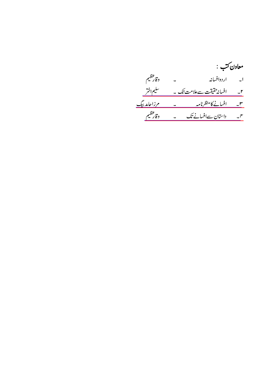# معاون ڪتب : ا۔ اردوافسانہ ۔ وقارعظیم <u>ا۔ افسانہ حقیقت سےعلامت تک ۔ سلیم اختر </u> ۔<br>سم۔ افسانےکا منظرنامہ ۔ مرزاحامد بیگ<br>سم۔ داستان سےافسانے تک ۔ دقارعظیم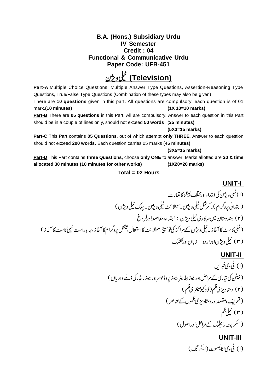### **B.A. (Hons.) Subsidiary Urdu IV Semester Credit : 04 Functional & Communicative Urdu Paper Code: UFB-451**

# **(Television)**

**Part-A** Multiple Choice Questions, Multiple Answer Type Questions, Assertion-Reasoning Type Questions, True/False Type Questions (Combination of these types may also be given) There are **10 questions** given in this part. All questions are compulsory, each question is of 01 mark.**(10 minutes) (1X 10=10 marks) Part-B** There are **05 questions** in this Part. All are compulsory. Answer to each question in this Part

should be in a couple of lines only, should not exceed **50 words** (**25 minutes)**

#### **(5X3=15 marks)**

**Part-C** This Part contains **05 Questions**, out of which attempt **only THREE**. Answer to each question should not exceed **200 words.** Each question carries 05 marks (**45 minutes)**

#### **(3X5=15 marks)**

**Part-D** This Part contains **three Questions**, choose **only ONE** to answer. Marks allotted are **20 & time allocated 30 minutes (10 minutes for other works) (1X20=20 marks)**

#### **Total = 02 Hours**

 

### **UNIT-II**

**UNIT-I** 

 

#### **UNIT-III**  <u>۱۰۰۰ : ۱۰۰۰</u><br>(۱) ٹی وی *ا*ناولسمنٹ ۔<br>سمنٹ (اینگر  $\ddot{\phantom{0}}$ تگ)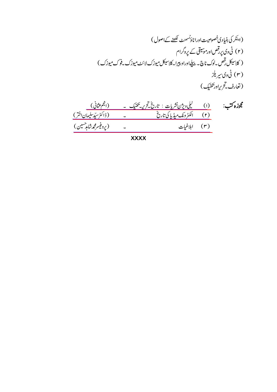مُ
$$
\begin{array}{ccc}\n\hline\n\text{2.1} & (1) & \frac{1}{2} & \frac{1}{2} & \frac{1}{2} & \frac{1}{2} & \frac{1}{2} & \frac{1}{2} & \frac{1}{2} & \frac{1}{2} & \frac{1}{2} & \frac{1}{2} & \frac{1}{2} & \frac{1}{2} & \frac{1}{2} & \frac{1}{2} & \frac{1}{2} & \frac{1}{2} & \frac{1}{2} & \frac{1}{2} & \frac{1}{2} & \frac{1}{2} & \frac{1}{2} & \frac{1}{2} & \frac{1}{2} & \frac{1}{2} & \frac{1}{2} & \frac{1}{2} & \frac{1}{2} & \frac{1}{2} & \frac{1}{2} & \frac{1}{2} & \frac{1}{2} & \frac{1}{2} & \frac{1}{2} & \frac{1}{2} & \frac{1}{2} & \frac{1}{2} & \frac{1}{2} & \frac{1}{2} & \frac{1}{2} & \frac{1}{2} & \frac{1}{2} & \frac{1}{2} & \frac{1}{2} & \frac{1}{2} & \frac{1}{2} & \frac{1}{2} & \frac{1}{2} & \frac{1}{2} & \frac{1}{2} & \frac{1}{2} & \frac{1}{2} & \frac{1}{2} & \frac{1}{2} & \frac{1}{2} & \frac{1}{2} & \frac{1}{2} & \frac{1}{2} & \frac{1}{2} & \frac{1}{2} & \frac{1}{2} & \frac{1}{2} & \frac{1}{2} & \frac{1}{2} & \frac{1}{2} & \frac{1}{2} & \frac{1}{2} & \frac{1}{2} & \frac{1}{2} & \frac{1}{2} & \frac{1}{2} & \frac{1}{2} & \frac{1}{2} & \frac{1}{2} &
$$

**XXXX**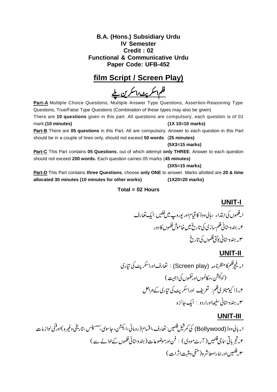### **B.A. (Hons.) Subsidiary Urdu IV Semester Credit : 02 Functional & Communicative Urdu Paper Code: UFB-452**

## **film Script / Screen Play)**

<u>فلم اسکریٹ راسکرین بلے</u>

**Part-A** Multiple Choice Questions, Multiple Answer Type Questions, Assertion-Reasoning Type Questions, True/False Type Questions (Combination of these types may also be given)

There are **10 questions** given in this part. All questions are compulsory, each question is of 01 mark.**(10 minutes) (1X 10=10 marks)**

**Part-B** There are **05 questions** in this Part. All are compulsory. Answer to each question in this Part should be in a couple of lines only, should not exceed **50 words** (**25 minutes)**

#### **(5X3=15 marks)**

**Part-C** This Part contains **05 Questions**, out of which attempt **only THREE**. Answer to each question should not exceed **200 words.** Each question carries 05 marks (**45 minutes)**

**(3X5=15 marks)**

**Part-D** This Part contains **three Questions**, choose **only ONE** to answer. Marks allotted are **20 & time allocated 30 minutes (10 minutes for other works) (1X20=20 marks)**

#### **Total = 02 Hours**

**UNIT-I**  ۔<br>افلموں کیا ابتداء ، ہالی دوڈ کا قیام اور پوروپ میں فلیں <sup>فلی</sup>ں :ایک تعارف ۲۔ ہندوستانی فلم سازی کی تاریخ میں خاموش فلموں کا دور س پېندوستاني پو<sup>ل</sup>ټی فلموں کی تاری<sup>ځ</sup>

## **UNIT-II**

 (Screen play) 

## **UNIT-III**

کی کمر سیل کلمیں: تعارف،اقسام(رومانی،ایکشن،جاسوسی، ر<br>، سىپنس <sub>ں ،تار</sub>يجی وغيرہ)اور<sup>و</sup> <u>\_\_\_\_\_\_\_\_\_\_</u><br>ا۔بالی دوڈ (Bollywood) کی کمرشیل فلمیں : تعارف،اقسام(رومانی،ا<sup>یک</sup>شن، جاسو<sub>تی</sub>،سسپنس ،تاریخی وغیرہ )اورقنّی لواز مات ۲۔تج پاتی ساجی فلمیں ( آرٹ مووی ) : فن اورموضوعات( ہندوستانی فلموں کےحوالے سے ) ۳ فلمیںاور ہمارامعاشرہ ( منفی ومثبت اثرات )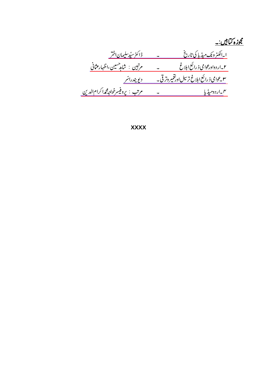<u> مجوزه کتابیں:۔</u> ر کرد.<br><u>۲ -اردواورعوامی ذ رائع ابلاغ مسلم است مسلم مرتبین : شامدهسین،اظهارعثانی</u><br><u>۳ عوامی ذ رائع ابلاغ ترسیل اورقتمبر وترقی - ویو بندراسّر</u> 

**XXXX**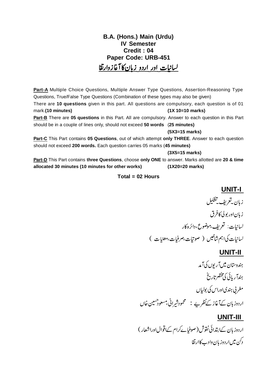## **B.A. (Hons.) Main (Urdu) IV Semester Credit : 04 Paper Code: URB-451** لسانبات اور اردو زبان کا آغازوارتقا

**Part-A** Multiple Choice Questions, Multiple Answer Type Questions, Assertion-Reasoning Type Questions, True/False Type Questions (Combination of these types may also be given)

There are **10 questions** given in this part. All questions are compulsory, each question is of 01 mark.**(10 minutes) (1X 10=10 marks)**

**Part-B** There are **05 questions** in this Part. All are compulsory. Answer to each question in this Part should be in a couple of lines only, should not exceed **50 words** (**25 minutes)**

**(5X3=15 marks)**

**Part-C** This Part contains **05 Questions**, out of which attempt **only THREE**. Answer to each question should not exceed **200 words.** Each question carries 05 marks (**45 minutes)**

**(3X5=15 marks)**

**Part-D** This Part contains **three Questions**, choose **only ONE** to answer. Marks allotted are **20 & time allocated 30 minutes (10 minutes for other works) (1X20=20 marks)**

#### **Total = 02 Hours**

### **UNIT-I**

زيان بەقرىف تىشكىل زبان اور بولی کافرق لسانيات: تعريف،موضوع،دائره کار لسانیات کی اہم شاخیں ( صوتیات،صرفیات، معنیات )

## **UNIT-II**

ہندوستان میںآ ریوں کیآ مد ېندا ريائي کې مخضرتاريخ مغر پی ہندی اوراس کی بولیاں اردوز ہان کےآغاز کےنظریے : سمجمودشیرانی،مسعودھسین خاں

## **UNIT-III**

اردوز بان کےابتدائی نقوش (صوفیائےرام کےاقوالاوراشعار) دکن میں اردوز بان وادے کاارتقا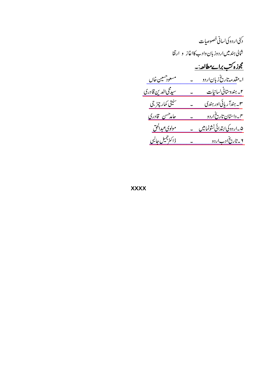|                          | دڭن اردوكى لسانى خصوصيات                 |
|--------------------------|------------------------------------------|
|                          | شالی ہند میںاردوزبان دادب کااغاز و ارتقا |
|                          | <u>مجوزہ کتب براے مطالعہ:۔</u>           |
| <u>مسعودهسین خاں</u>     | ا <u>مقدمه تاریخ زبان اردو</u>           |
| <u>سیدگی الدین قادری</u> | <u>۲ - ہندوستانی لسانیات</u>             |
| <u>سنیتی کمار چڑ جی</u>  | ۳ <sub>– ہندآ ریائی اور ہندی</sub>       |
| <u>حامدهس قادری</u>      | <u>م - داستان تاریخ اردو</u>             |
| <u>مولوی عبدالحق</u>     | <u>۵ _اردوکیا بتدائی نشونمامیں</u>       |
| ڈاکٹر جمیل جالبی         | ۲ _ تاریخ ادب اردو                       |

**XXXX**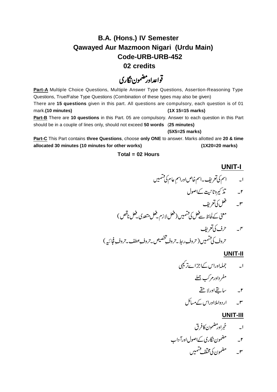## **B.A. (Hons.) IV Semester Qawayed Aur Mazmoon Nigari (Urdu Main) Code-URB-URB-452**

 **02 credits**

قواعداور مضمون نگاري

Part-A Multiple Choice Questions, Multiple Answer Type Questions, Assertion-Reasoning Type Questions, True/False Type Questions (Combination of these types may also be given) There are **15 questions** given in this part. All questions are compulsory, each question is of 01 mark.**(10 minutes) (1X 15=15 marks) Part-B** There are **10 questions** in this Part. 05 are compulsory. Answer to each question in this Part should be in a couple of lines only, should not exceed **50 words** (**25 minutes)**

**(5X5=25 marks)**

**Part-C** This Part contains **three Questions**, choose **only ONE** to answer. Marks allotted are **20 & time allocated 30 minutes (10 minutes for other works) (1X20=20 marks)**

#### **Total = 02 Hours**

**UNIT-I** 

 

#### **UNIT-II**

 مفرداورمركب جمله r\_ ساتقےاورلا حقے ۳۔ اردواملااوراس کے مسائل

### **UNIT-III**

 ۲۔ مسلم مصمون نگاری کےاصول اورآ داب ۳۔ سمسمنصمون کی مختلف فسمیں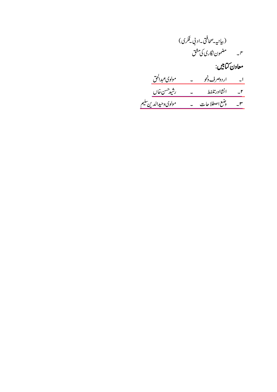| (بيانية-صحافتي-اد بي فِكرى) |               |
|-----------------------------|---------------|
| مضمون نگاری کی مشق          | $\mathcal{I}$ |

## معاون ڪتابين:

| مولوی عبدالحق                | اردوصرف <u>ونحو</u> | $\overline{\phantom{0}}$ |
|------------------------------|---------------------|--------------------------|
| رشيدحسن خال                  | انشااورتلفط         | $-r$                     |
| مول <u>وي وحيدالدين تليم</u> | وضع اصطلاحات        | $-r$                     |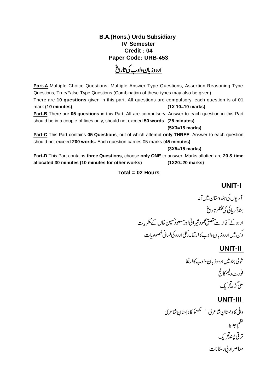### **B.A.(Hons.) Urdu Subsidiary IV Semester Credit : 04 Paper Code: URB-453**

<u>اردوزبان دادب کی تاریخ</u>

**Part-A** Multiple Choice Questions, Multiple Answer Type Questions, Assertion-Reasoning Type Questions, True/False Type Questions (Combination of these types may also be given) There are **10 questions** given in this part. All questions are compulsory, each question is of 01 mark.**(10 minutes) (1X 10=10 marks)**

**Part-B** There are **05 questions** in this Part. All are compulsory. Answer to each question in this Part should be in a couple of lines only, should not exceed **50 words** (**25 minutes)**

#### **(5X3=15 marks)**

**Part-C** This Part contains **05 Questions**, out of which attempt **only THREE**. Answer to each question should not exceed **200 words.** Each question carries 05 marks (**45 minutes)**

**(3X5=15 marks)**

**Part-D** This Part contains **three Questions**, choose **only ONE** to answer. Marks allotted are **20 & time allocated 30 minutes (10 minutes for other works) (1X20=20 marks)**

#### **Total = 02 Hours**

### **UNIT-I**

آریوں کی ہندوستان میںآ مد ېندآ ريائي کې مخضرتاريخ اردوكےآغاز سے متعلق محمود شیرانی اور مسعود حسین خاں کےنظریات دكن ميںار دوزبان وادب كاارتقابہ كنى اردوكى لسانى خصوصات

### **UNIT-II**

شالى ہندميں اردوزبان دادب كاارتقا فورٹ ولیم کالج على گڑھ تر يک

### **UNIT-III**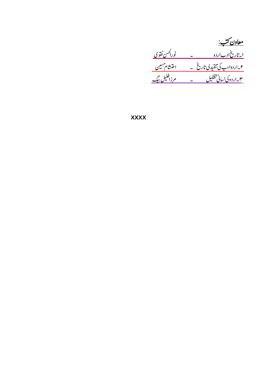<u>معاون کتب:</u><br><u>ایتاریخان-اردو – نورا<sup>کس</sup>نفتوی</u><br>۲-اردوادب کی تنقیدی تاریخ - اختشام<sup>حسین</sup><br>۳-اردوکی سانی تشکیل - مرزخلیل بیگ

**XXXX**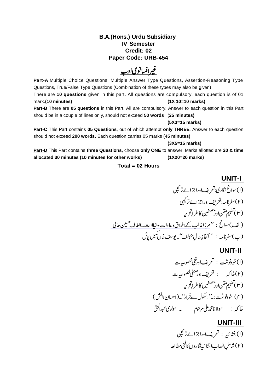### **B.A.(Hons.) Urdu Subsidiary IV Semester Credit: 02 Paper Code: URB-454**

# غیرافسانوی ادب

**Part-A** Multiple Choice Questions, Multiple Answer Type Questions, Assertion-Reasoning Type Questions, True/False Type Questions (Combination of these types may also be given) There are **10 questions** given in this part. All questions are compulsory, each question is of 01 mark.**(10 minutes) (1X 10=10 marks)**

**Part-B** There are **05 questions** in this Part. All are compulsory. Answer to each question in this Part should be in a couple of lines only, should not exceed **50 words** (**25 minutes)**

#### **(5X3=15 marks)**

**Part-C** This Part contains **05 Questions**, out of which attempt **only THREE**. Answer to each question should not exceed **200 words.** Each question carries 05 marks (**45 minutes)**

#### **(3X5=15 marks)**

**Part-D** This Part contains **three Questions**, choose **only ONE** to answer. Marks allotted are **20 & time allocated 30 minutes (10 minutes for other works) (1X20=20 marks)**

#### **Total = 02 Hours**

## (الف) سوائح : <u>''مرزاغالب کےاخلاق وعادات وخیالات۔الطاف مسین حالی</u> **UNIT-I**  (۱) سوانح نگاری:تعریف اوراجزائےتر کیبی (۲) سفرنامه:تعریف اوراجزائےتر کیبی ( ۳ ) ههيم ممکن اور ...<br>مصنفین<br>ر <sup>نفي</sup>ن كاطر <u>ن</u>تحري<sub>ه</sub> (ب) سفرنامه : " آغازِ حال مئولف<sup>''</sup> - بوسف خال کمبل پو*ش*

### **UNIT-II**

 

### **UNIT-III**

.<br>(۱)انشائیہ : تعریفادراجزائےترکیبی (۲) شاملِ نصابِ انشا ئىيەنگاروں كافنى مطالعہ